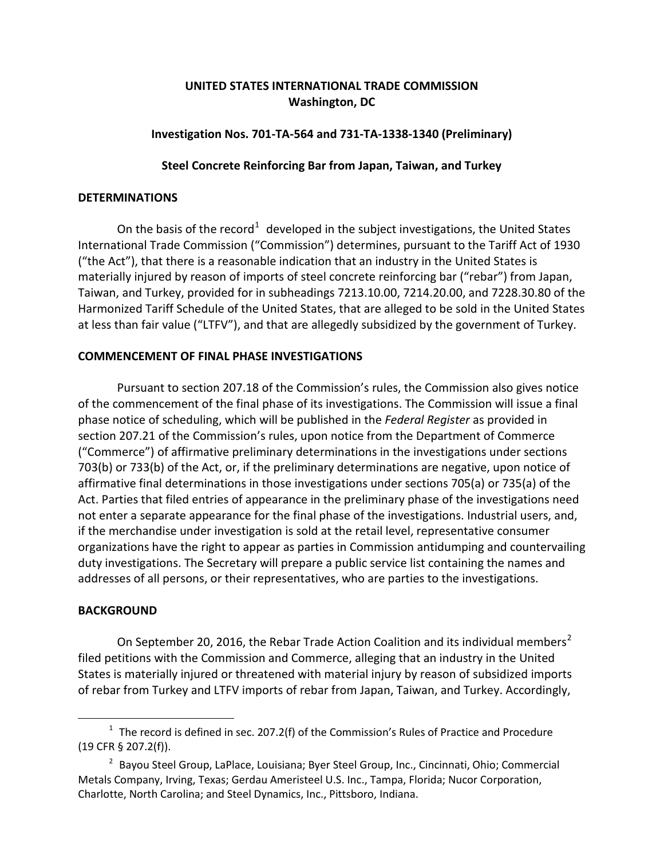# **UNITED STATES INTERNATIONAL TRADE COMMISSION Washington, DC**

# **Investigation Nos. 701-TA-564 and 731-TA-1338-1340 (Preliminary)**

# **Steel Concrete Reinforcing Bar from Japan, Taiwan, and Turkey**

### **DETERMINATIONS**

On the basis of the record<sup>[1](#page-0-0)</sup> developed in the subject investigations, the United States International Trade Commission ("Commission") determines, pursuant to the Tariff Act of 1930 ("the Act"), that there is a reasonable indication that an industry in the United States is materially injured by reason of imports of steel concrete reinforcing bar ("rebar") from Japan, Taiwan, and Turkey, provided for in subheadings 7213.10.00, 7214.20.00, and 7228.30.80 of the Harmonized Tariff Schedule of the United States, that are alleged to be sold in the United States at less than fair value ("LTFV"), and that are allegedly subsidized by the government of Turkey.

### **COMMENCEMENT OF FINAL PHASE INVESTIGATIONS**

Pursuant to section 207.18 of the Commission's rules, the Commission also gives notice of the commencement of the final phase of its investigations. The Commission will issue a final phase notice of scheduling, which will be published in the *Federal Register* as provided in section 207.21 of the Commission's rules, upon notice from the Department of Commerce ("Commerce") of affirmative preliminary determinations in the investigations under sections 703(b) or 733(b) of the Act, or, if the preliminary determinations are negative, upon notice of affirmative final determinations in those investigations under sections 705(a) or 735(a) of the Act. Parties that filed entries of appearance in the preliminary phase of the investigations need not enter a separate appearance for the final phase of the investigations. Industrial users, and, if the merchandise under investigation is sold at the retail level, representative consumer organizations have the right to appear as parties in Commission antidumping and countervailing duty investigations. The Secretary will prepare a public service list containing the names and addresses of all persons, or their representatives, who are parties to the investigations.

### **BACKGROUND**

 $\overline{a}$ 

On September [2](#page-0-1)0, 2016, the Rebar Trade Action Coalition and its individual members<sup>2</sup> filed petitions with the Commission and Commerce, alleging that an industry in the United States is materially injured or threatened with material injury by reason of subsidized imports of rebar from Turkey and LTFV imports of rebar from Japan, Taiwan, and Turkey. Accordingly,

<span id="page-0-0"></span> $1$  The record is defined in sec. 207.2(f) of the Commission's Rules of Practice and Procedure (19 CFR § 207.2(f)).

<span id="page-0-1"></span><sup>&</sup>lt;sup>2</sup> Bayou Steel Group, LaPlace, Louisiana; Byer Steel Group, Inc., Cincinnati, Ohio; Commercial Metals Company, Irving, Texas; Gerdau Ameristeel U.S. Inc., Tampa, Florida; Nucor Corporation, Charlotte, North Carolina; and Steel Dynamics, Inc., Pittsboro, Indiana.